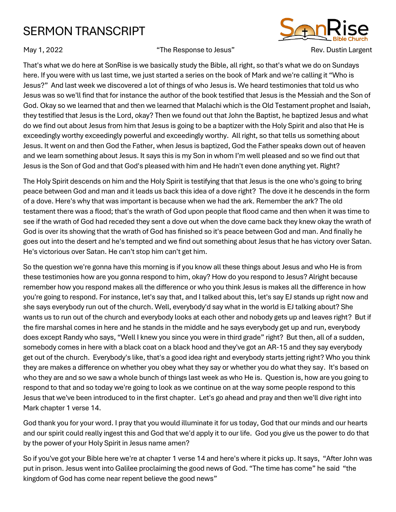## SERMON TRANSCRIPT



May 1, 2022 The Response to Jesus" Rev. Dustin Largent



That's what we do here at SonRise is we basically study the Bible, all right, so that's what we do on Sundays here. If you were with us last time, we just started a series on the book of Mark and we're calling it "Who is Jesus?" And last week we discovered a lot of things of who Jesus is. We heard testimonies that told us who Jesus was so we'll find that for instance the author of the book testified that Jesus is the Messiah and the Son of God. Okay so we learned that and then we learned that Malachi which is the Old Testament prophet and Isaiah, they testified that Jesus is the Lord, okay? Then we found out that John the Baptist, he baptized Jesus and what do we find out about Jesus from him that Jesus is going to be a baptizer with the Holy Spirit and also that He is exceedingly worthy exceedingly powerful and exceedingly worthy. All right, so that tells us something about Jesus. It went on and then God the Father, when Jesus is baptized, God the Father speaks down out of heaven and we learn something about Jesus. It says this is my Son in whom I'm well pleased and so we find out that Jesus is the Son of God and that God's pleased with him and He hadn't even done anything yet. Right?

The Holy Spirit descends on him and the Holy Spirit is testifying that that Jesus is the one who's going to bring peace between God and man and it leads us back this idea of a dove right? The dove it he descends in the form of a dove. Here's why that was important is because when we had the ark. Remember the ark? The old testament there was a flood; that's the wrath of God upon people that flood came and then when it was time to see if the wrath of God had receded they sent a dove out when the dove came back they knew okay the wrath of God is over its showing that the wrath of God has finished so it's peace between God and man. And finally he goes out into the desert and he's tempted and we find out something about Jesus that he has victory over Satan. He's victorious over Satan. He can't stop him can't get him.

So the question we're gonna have this morning is if you know all these things about Jesus and who He is from these testimonies how are you gonna respond to him, okay? How do you respond to Jesus? Alright because remember how you respond makes all the difference or who you think Jesus is makes all the difference in how you're going to respond. For instance, let's say that, and I talked about this, let's say EJ stands up right now and she says everybody run out of the church. Well, everybody'd say what in the world is EJ talking about? She wants us to run out of the church and everybody looks at each other and nobody gets up and leaves right? But if the fire marshal comes in here and he stands in the middle and he says everybody get up and run, everybody does except Randy who says, "Well I knew you since you were in third grade" right? But then, all of a sudden, somebody comes in here with a black coat on a black hood and they've got an AR-15 and they say everybody get out of the church. Everybody's like, that's a good idea right and everybody starts jetting right? Who you think they are makes a difference on whether you obey what they say or whether you do what they say. It's based on who they are and so we saw a whole bunch of things last week as who He is. Question is, how are you going to respond to that and so today we're going to look as we continue on at the way some people respond to this Jesus that we've been introduced to in the first chapter. Let's go ahead and pray and then we'll dive right into Mark chapter 1 verse 14.

God thank you for your word. I pray that you would illuminate it for us today, God that our minds and our hearts and our spirit could really ingest this and God that we'd apply it to our life. God you give us the power to do that by the power of your Holy Spirit in Jesus name amen?

So if you've got your Bible here we're at chapter 1 verse 14 and here's where it picks up. It says, "After John was put in prison. Jesus went into Galilee proclaiming the good news of God. "The time has come" he said "the kingdom of God has come near repent believe the good news"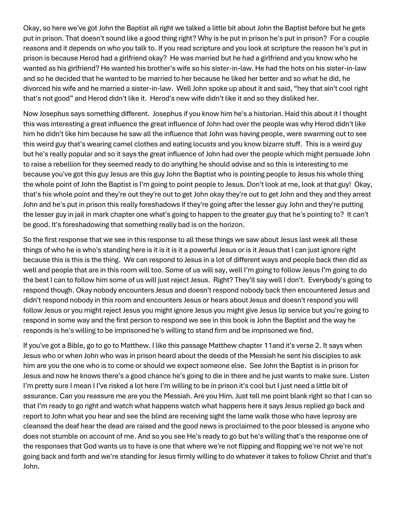Okay, so here we've got John the Baptist all right we talked a little bit about John the Baptist before but he gets put in prison. That doesn't sound like a good thing right? Why is he put in prison he's put in prison? For a couple reasons and it depends on who you talk to. If you read scripture and you look at scripture the reason he's put in prison is because Herod had a girlfriend okay? He was married but he had a girlfriend and you know who he wanted as his girlfriend? He wanted his brother's wife so his sister-in-law. He had the hots on his sister-in-law and so he decided that he wanted to be married to her because he liked her better and so what he did, he divorced his wife and he married a sister-in-law. Well John spoke up about it and said, "hey that ain't cool right that's not good" and Herod didn't like it. Herod's new wife didn't like it and so they disliked her.

Now Josephus says something different. Josephus if you know him he's a historian. Haid this about it I thought this was interesting a great influence the great influence of John had over the people was why Herod didn't like him he didn't like him because he saw all the influence that John was having people, were swarming out to see this weird guy that's wearing camel clothes and eating locusts and you know bizarre stuff. This is a weird guy but he's really popular and so it says the great influence of John had over the people which might persuade John to raise a rebellion for they seemed ready to do anything he should advise and so this is interesting to me because you've got this guy Jesus are this guy John the Baptist who is pointing people to Jesus his whole thing the whole point of John the Baptist is I'm going to point people to Jesus. Don't look at me, look at that guy! Okay, that's his whole point and they're out they're out to get John okay they're out to get John and they and they arrest John and he's put in prison this really foreshadows if they're going after the lesser guy John and they're putting the lesser guy in jail in mark chapter one what's going to happen to the greater guy that he's pointing to? It can't be good. It's foreshadowing that something really bad is on the horizon.

So the first response that we see in this response to all these things we saw about Jesus last week all these things of who he is who's standing here is it is it is it a powerful Jesus or is it Jesus that I can just ignore right because this is this is the thing. We can respond to Jesus in a lot of different ways and people back then did as well and people that are in this room will too. Some of us will say, well I'm going to follow Jesus I'm going to do the best I can to follow him some of us will just reject Jesus. Right? They'll say well I don't. Everybody's going to respond though. Okay nobody encounters Jesus and doesn't respond nobody back then encountered Jesus and didn't respond nobody in this room and encounters Jesus or hears about Jesus and doesn't respond you will follow Jesus or you might reject Jesus you might ignore Jesus you might give Jesus lip service but you're going to respond in some way and the first person to respond we see in this book is John the Baptist and the way he responds is he's willing to be imprisoned he's willing to stand firm and be imprisoned we find.

If you've got a Bible, go to go to Matthew. I like this passage Matthew chapter 11and it's verse 2. It says when Jesus who or when John who was in prison heard about the deeds of the Messiah he sent his disciples to ask him are you the one who is to come or should we expect someone else. See John the Baptist is in prison for Jesus and now he knows there's a good chance he's going to die in there and he just wants to make sure. Listen I'm pretty sure I mean I I've risked a lot here I'm willing to be in prison it's cool but I just need a little bit of assurance. Can you reassure me are you the Messiah. Are you Him. Just tell me point blank right so that I can so that I'm ready to go right and watch what happens watch what happens here it says Jesus replied go back and report to John what you hear and see the blind are receiving sight the lame walk those who have leprosy are cleansed the deaf hear the dead are raised and the good news is proclaimed to the poor blessed is anyone who does not stumble on account of me. And so you see He's ready to go but he's willing that's the response one of the responses that God wants us to have is one that where we're not flipping and flopping we're not we're not going back and forth and we're standing for Jesus firmly willing to do whatever it takes to follow Christ and that's John.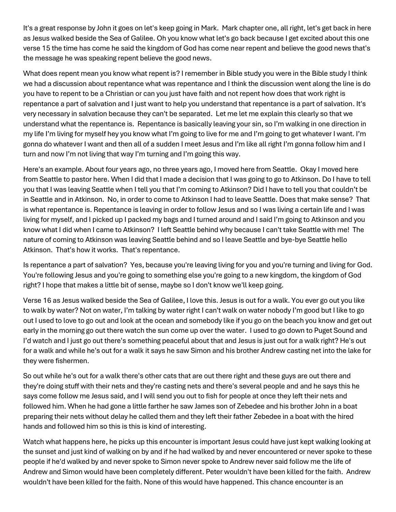It's a great response by John it goes on let's keep going in Mark. Mark chapter one, all right, let's get back in here as Jesus walked beside the Sea of Galilee. Oh you know what let's go back because I get excited about this one verse 15 the time has come he said the kingdom of God has come near repent and believe the good news that's the message he was speaking repent believe the good news.

What does repent mean you know what repent is? I remember in Bible study you were in the Bible study I think we had a discussion about repentance what was repentance and I think the discussion went along the line is do you have to repent to be a Christian or can you just have faith and not repent how does that work right is repentance a part of salvation and I just want to help you understand that repentance is a part of salvation. It's very necessary in salvation because they can't be separated. Let me let me explain this clearly so that we understand what the repentance is. Repentance is basically leaving your sin, so I'm walking in one direction in my life I'm living for myself hey you know what I'm going to live for me and I'm going to get whatever I want. I'm gonna do whatever I want and then all of a sudden I meet Jesus and I'm like all right I'm gonna follow him and I turn and now I'm not living that way I'm turning and I'm going this way.

Here's an example. About four years ago, no three years ago, I moved here from Seattle. Okay I moved here from Seattle to pastor here. When I did that I made a decision that I was going to go to Atkinson. Do I have to tell you that I was leaving Seattle when I tell you that I'm coming to Atkinson? Did I have to tell you that couldn't be in Seattle and in Atkinson. No, in order to come to Atkinson I had to leave Seattle. Does that make sense? That is what repentance is. Repentance is leaving in order to follow Jesus and so I was living a certain life and I was living for myself, and I picked up I packed my bags and I turned around and I said I'm going to Atkinson and you know what I did when I came to Atkinson? I left Seattle behind why because I can't take Seattle with me! The nature of coming to Atkinson was leaving Seattle behind and so I leave Seattle and bye-bye Seattle hello Atkinson. That's how it works. That's repentance.

Is repentance a part of salvation? Yes, because you're leaving living for you and you're turning and living for God. You're following Jesus and you're going to something else you're going to a new kingdom, the kingdom of God right? I hope that makes a little bit of sense, maybe so I don't know we'll keep going.

Verse 16 as Jesus walked beside the Sea of Galilee, I love this. Jesus is out for a walk. You ever go out you like to walk by water? Not on water, I'm talking by water right I can't walk on water nobody I'm good but I like to go out I used to love to go out and look at the ocean and somebody like if you go on the beach you know and get out early in the morning go out there watch the sun come up over the water. I used to go down to Puget Sound and I'd watch and I just go out there's something peaceful about that and Jesus is just out for a walk right? He's out for a walk and while he's out for a walk it says he saw Simon and his brother Andrew casting net into the lake for they were fishermen.

So out while he's out for a walk there's other cats that are out there right and these guys are out there and they're doing stuff with their nets and they're casting nets and there's several people and and he says this he says come follow me Jesus said, and I will send you out to fish for people at once they left their nets and followed him. When he had gone a little farther he saw James son of Zebedee and his brother John in a boat preparing their nets without delay he called them and they left their father Zebedee in a boat with the hired hands and followed him so this is this is kind of interesting.

Watch what happens here, he picks up this encounter is important Jesus could have just kept walking looking at the sunset and just kind of walking on by and if he had walked by and never encountered or never spoke to these people if he'd walked by and never spoke to Simon never spoke to Andrew never said follow me the life of Andrew and Simon would have been completely different. Peter wouldn't have been killed for the faith. Andrew wouldn't have been killed for the faith. None of this would have happened. This chance encounter is an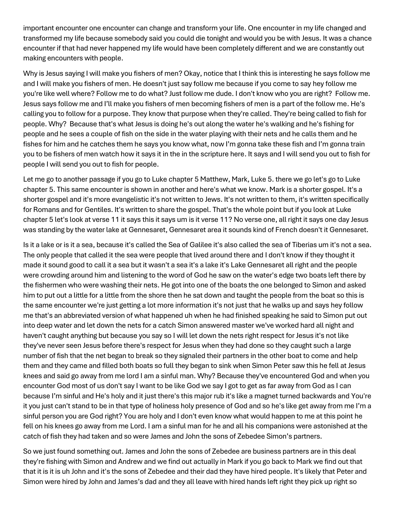important encounter one encounter can change and transform your life. One encounter in my life changed and transformed my life because somebody said you could die tonight and would you be with Jesus. It was a chance encounter if that had never happened my life would have been completely different and we are constantly out making encounters with people.

Why is Jesus saying I will make you fishers of men? Okay, notice that I think this is interesting he says follow me and I will make you fishers of men. He doesn't just say follow me because if you come to say hey follow me you're like well where? Follow me to do what? Just follow me dude. I don't know who you are right? Follow me. Jesus says follow me and I'll make you fishers of men becoming fishers of men is a part of the follow me. He's calling you to follow for a purpose. They know that purpose when they're called. They're being called to fish for people. Why? Because that's what Jesus is doing he's out along the water he's walking and he's fishing for people and he sees a couple of fish on the side in the water playing with their nets and he calls them and he fishes for him and he catches them he says you know what, now I'm gonna take these fish and I'm gonna train you to be fishers of men watch how it says it in the in the scripture here. It says and I will send you out to fish for people I will send you out to fish for people.

Let me go to another passage if you go to Luke chapter 5 Matthew, Mark, Luke 5. there we go let's go to Luke chapter 5. This same encounter is shown in another and here's what we know. Mark is a shorter gospel. It's a shorter gospel and it's more evangelistic it's not written to Jews. It's not written to them, it's written specifically for Romans and for Gentiles. It's written to share the gospel. That's the whole point but if you look at Luke chapter 5 let's look at verse 11 it says this it says um is it verse 11? No verse one, all right it says one day Jesus was standing by the water lake at Gennesaret, Gennesaret area it sounds kind of French doesn't it Gennesaret.

Is it a lake or is it a sea, because it's called the Sea of Galilee it's also called the sea of Tiberias um it's not a sea. The only people that called it the sea were people that lived around there and I don't know if they thought it made it sound good to call it a sea but it wasn't a sea it's a lake it's Lake Gennesaret all right and the people were crowding around him and listening to the word of God he saw on the water's edge two boats left there by the fishermen who were washing their nets. He got into one of the boats the one belonged to Simon and asked him to put out a little for a little from the shore then he sat down and taught the people from the boat so this is the same encounter we're just getting a lot more information it's not just that he walks up and says hey follow me that's an abbreviated version of what happened uh when he had finished speaking he said to Simon put out into deep water and let down the nets for a catch Simon answered master we've worked hard all night and haven't caught anything but because you say so I will let down the nets right respect for Jesus it's not like they've never seen Jesus before there's respect for Jesus when they had done so they caught such a large number of fish that the net began to break so they signaled their partners in the other boat to come and help them and they came and filled both boats so full they began to sink when Simon Peter saw this he fell at Jesus knees and said go away from me lord I am a sinful man. Why? Because they've encountered God and when you encounter God most of us don't say I want to be like God we say I got to get as far away from God as I can because I'm sinful and He's holy and it just there's this major rub it's like a magnet turned backwards and You're it you just can't stand to be in that type of holiness holy presence of God and so he's like get away from me I'm a sinful person you are God right? You are holy and I don't even know what would happen to me at this point he fell on his knees go away from me Lord. I am a sinful man for he and all his companions were astonished at the catch of fish they had taken and so were James and John the sons of Zebedee Simon's partners.

So we just found something out. James and John the sons of Zebedee are business partners are in this deal they're fishing with Simon and Andrew and we find out actually in Mark if you go back to Mark we find out that that it is it is uh John and it's the sons of Zebedee and their dad they have hired people. It's likely that Peter and Simon were hired by John and James's dad and they all leave with hired hands left right they pick up right so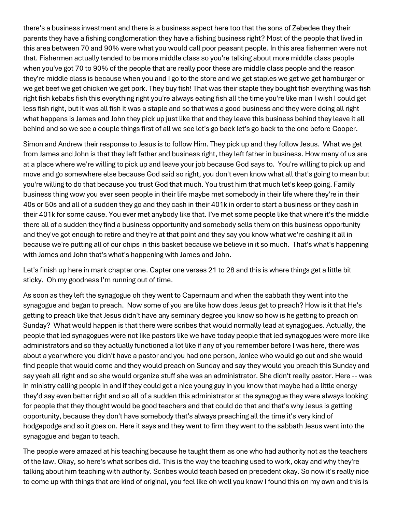there's a business investment and there is a business aspect here too that the sons of Zebedee they their parents they have a fishing conglomeration they have a fishing business right? Most of the people that lived in this area between 70 and 90% were what you would call poor peasant people. In this area fishermen were not that. Fishermen actually tended to be more middle class so you're talking about more middle class people when you've got 70 to 90% of the people that are really poor these are middle class people and the reason they're middle class is because when you and I go to the store and we get staples we get we get hamburger or we get beef we get chicken we get pork. They buy fish! That was their staple they bought fish everything was fish right fish kebabs fish this everything right you're always eating fish all the time you're like man I wish I could get less fish right, but it was all fish it was a staple and so that was a good business and they were doing all right what happens is James and John they pick up just like that and they leave this business behind they leave it all behind and so we see a couple things first of all we see let's go back let's go back to the one before Cooper.

Simon and Andrew their response to Jesus is to follow Him. They pick up and they follow Jesus. What we get from James and John is that they left father and business right, they left father in business. How many of us are at a place where we're willing to pick up and leave your job because God says to. You're willing to pick up and move and go somewhere else because God said so right, you don't even know what all that's going to mean but you're willing to do that because you trust God that much. You trust him that much let's keep going. Family business thing wow you ever seen people in their life maybe met somebody in their life where they're in their 40s or 50s and all of a sudden they go and they cash in their 401k in order to start a business or they cash in their 401k for some cause. You ever met anybody like that. I've met some people like that where it's the middle there all of a sudden they find a business opportunity and somebody sells them on this business opportunity and they've got enough to retire and they're at that point and they say you know what we're cashing it all in because we're putting all of our chips in this basket because we believe in it so much. That's what's happening with James and John that's what's happening with James and John.

Let's finish up here in mark chapter one. Capter one verses 21 to 28 and this is where things get a little bit sticky. Oh my goodness I'm running out of time.

As soon as they left the synagogue oh they went to Capernaum and when the sabbath they went into the synagogue and began to preach. Now some of you are like how does Jesus get to preach? How is it that He's getting to preach like that Jesus didn't have any seminary degree you know so how is he getting to preach on Sunday? What would happen is that there were scribes that would normally lead at synagogues. Actually, the people that led synagogues were not like pastors like we have today people that led synagogues were more like administrators and so they actually functioned a lot like if any of you remember before I was here, there was about a year where you didn't have a pastor and you had one person, Janice who would go out and she would find people that would come and they would preach on Sunday and say they would you preach this Sunday and say yeah all right and so she would organize stuff she was an administrator. She didn't really pastor. Here -- was in ministry calling people in and if they could get a nice young guy in you know that maybe had a little energy they'd say even better right and so all of a sudden this administrator at the synagogue they were always looking for people that they thought would be good teachers and that could do that and that's why Jesus is getting opportunity, because they don't have somebody that's always preaching all the time it's very kind of hodgepodge and so it goes on. Here it says and they went to firm they went to the sabbath Jesus went into the synagogue and began to teach.

The people were amazed at his teaching because he taught them as one who had authority not as the teachers of the law. Okay, so here's what scribes did. This is the way the teaching used to work, okay and why they're talking about him teaching with authority. Scribes would teach based on precedent okay. So now it's really nice to come up with things that are kind of original, you feel like oh well you know I found this on my own and this is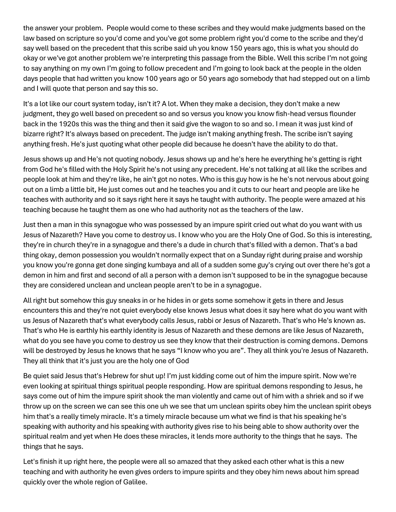the answer your problem. People would come to these scribes and they would make judgments based on the law based on scripture so you'd come and you've got some problem right you'd come to the scribe and they'd say well based on the precedent that this scribe said uh you know 150 years ago, this is what you should do okay or we've got another problem we're interpreting this passage from the Bible. Well this scribe I'm not going to say anything on my own I'm going to follow precedent and I'm going to look back at the people in the olden days people that had written you know 100 years ago or 50 years ago somebody that had stepped out on a limb and I will quote that person and say this so.

It's a lot like our court system today, isn't it? A lot. When they make a decision, they don't make a new judgment, they go well based on precedent so and so versus you know you know fish-head versus flounder back in the 1920s this was the thing and then it said give the wagon to so and so. I mean it was just kind of bizarre right? It's always based on precedent. The judge isn't making anything fresh. The scribe isn't saying anything fresh. He's just quoting what other people did because he doesn't have the ability to do that.

Jesus shows up and He's not quoting nobody. Jesus shows up and he's here he everything he's getting is right from God he's filled with the Holy Spirit he's not using any precedent. He's not talking at all like the scribes and people look at him and they're like, he ain't got no notes. Who is this guy how is he he's not nervous about going out on a limb a little bit, He just comes out and he teaches you and it cuts to our heart and people are like he teaches with authority and so it says right here it says he taught with authority. The people were amazed at his teaching because he taught them as one who had authority not as the teachers of the law.

Just then a man in this synagogue who was possessed by an impure spirit cried out what do you want with us Jesus of Nazareth? Have you come to destroy us. I know who you are the Holy One of God. So this is interesting, they're in church they're in a synagogue and there's a dude in church that's filled with a demon. That's a bad thing okay, demon possession you wouldn't normally expect that on a Sunday right during praise and worship you know you're gonna get done singing kumbaya and all of a sudden some guy's crying out over there he's got a demon in him and first and second of all a person with a demon isn't supposed to be in the synagogue because they are considered unclean and unclean people aren't to be in a synagogue.

All right but somehow this guy sneaks in or he hides in or gets some somehow it gets in there and Jesus encounters this and they're not quiet everybody else knows Jesus what does it say here what do you want with us Jesus of Nazareth that's what everybody calls Jesus, rabbi or Jesus of Nazareth. That's who He's known as. That's who He is earthly his earthly identity is Jesus of Nazareth and these demons are like Jesus of Nazareth, what do you see have you come to destroy us see they know that their destruction is coming demons. Demons will be destroyed by Jesus he knows that he says "I know who you are". They all think you're Jesus of Nazareth. They all think that it's just you are the holy one of God

Be quiet said Jesus that's Hebrew for shut up! I'm just kidding come out of him the impure spirit. Now we're even looking at spiritual things spiritual people responding. How are spiritual demons responding to Jesus, he says come out of him the impure spirit shook the man violently and came out of him with a shriek and so if we throw up on the screen we can see this one uh we see that um unclean spirits obey him the unclean spirit obeys him that's a really timely miracle. It's a timely miracle because um what we find is that his speaking he's speaking with authority and his speaking with authority gives rise to his being able to show authority over the spiritual realm and yet when He does these miracles, it lends more authority to the things that he says. The things that he says.

Let's finish it up right here, the people were all so amazed that they asked each other what is this a new teaching and with authority he even gives orders to impure spirits and they obey him news about him spread quickly over the whole region of Galilee.